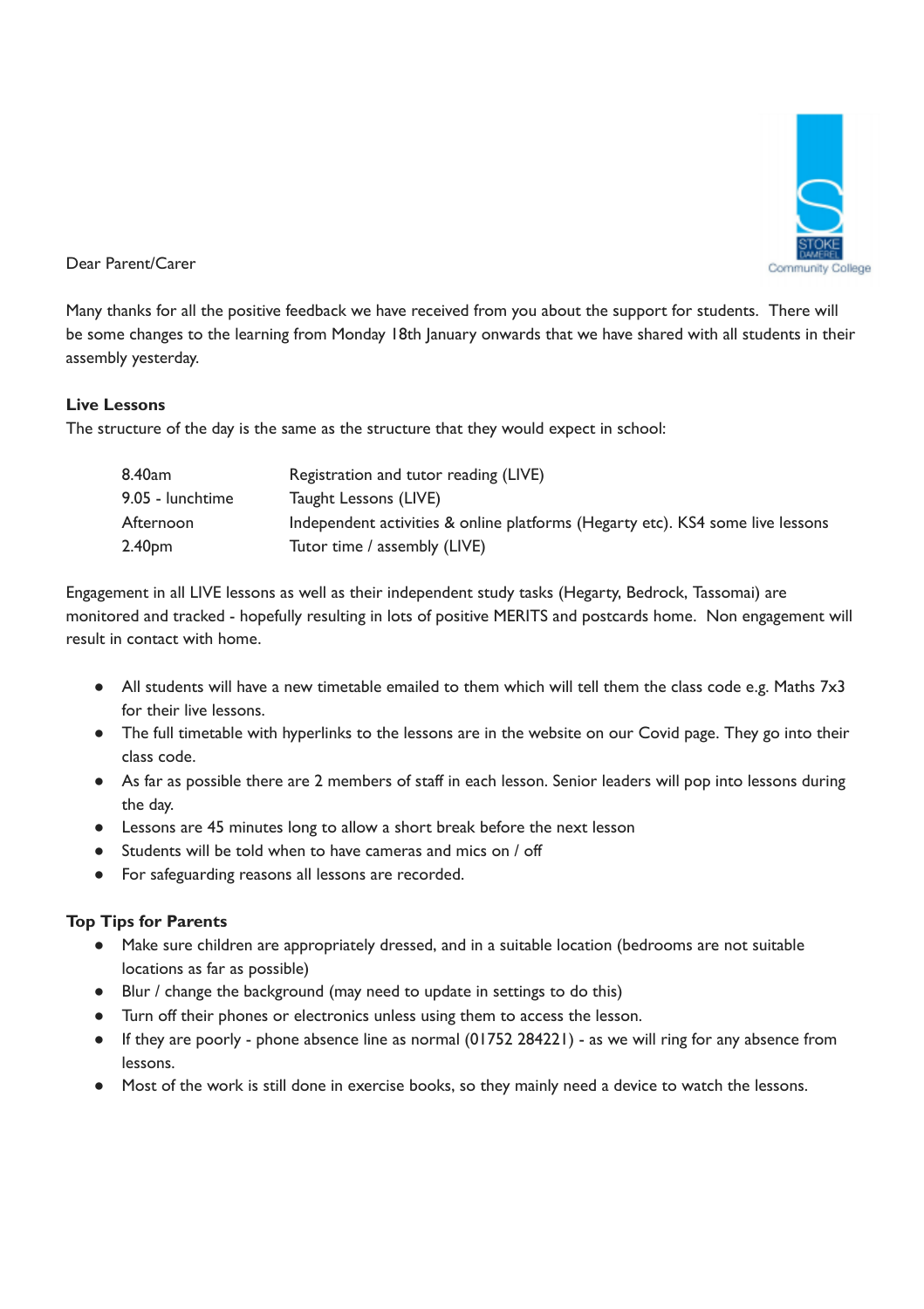

Dear Parent/Carer

Many thanks for all the positive feedback we have received from you about the support for students. There will be some changes to the learning from Monday 18th January onwards that we have shared with all students in their assembly yesterday.

## **Live Lessons**

The structure of the day is the same as the structure that they would expect in school:

| 8.40am           | Registration and tutor reading (LIVE)                                          |
|------------------|--------------------------------------------------------------------------------|
| 9.05 - lunchtime | Taught Lessons (LIVE)                                                          |
| Afternoon        | Independent activities & online platforms (Hegarty etc). KS4 some live lessons |
| 2.40pm           | Tutor time / assembly (LIVE)                                                   |

Engagement in all LIVE lessons as well as their independent study tasks (Hegarty, Bedrock, Tassomai) are monitored and tracked - hopefully resulting in lots of positive MERITS and postcards home. Non engagement will result in contact with home.

- All students will have a new timetable emailed to them which will tell them the class code e.g. Maths 7x3 for their live lessons.
- The full timetable with hyperlinks to the lessons are in the website on our Covid page. They go into their class code.
- As far as possible there are 2 members of staff in each lesson. Senior leaders will pop into lessons during the day.
- Lessons are 45 minutes long to allow a short break before the next lesson
- Students will be told when to have cameras and mics on / off
- For safeguarding reasons all lessons are recorded.

# **Top Tips for Parents**

- Make sure children are appropriately dressed, and in a suitable location (bedrooms are not suitable locations as far as possible)
- Blur / change the background (may need to update in settings to do this)
- Turn off their phones or electronics unless using them to access the lesson.
- If they are poorly phone absence line as normal (01752 284221) as we will ring for any absence from lessons.
- Most of the work is still done in exercise books, so they mainly need a device to watch the lessons.